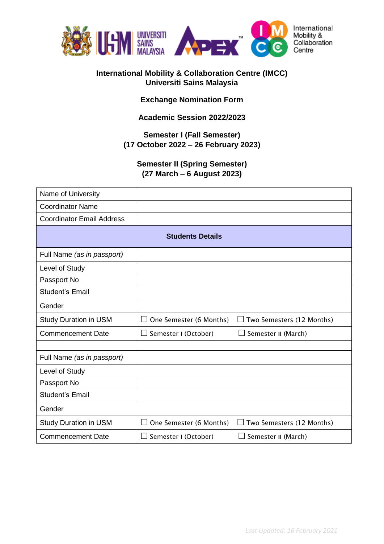

#### **International Mobility & Collaboration Centre (IMCC) Universiti Sains Malaysia**

### **Exchange Nomination Form**

### **Academic Session 2022/2023**

# **Semester I (Fall Semester) (17 October 2022 – 26 February 2023)**

# **Semester II (Spring Semester) (27 March – 6 August 2023)**

| Name of University               |                                    |                                     |  |
|----------------------------------|------------------------------------|-------------------------------------|--|
| <b>Coordinator Name</b>          |                                    |                                     |  |
| <b>Coordinator Email Address</b> |                                    |                                     |  |
| <b>Students Details</b>          |                                    |                                     |  |
| Full Name (as in passport)       |                                    |                                     |  |
| Level of Study                   |                                    |                                     |  |
| Passport No                      |                                    |                                     |  |
| <b>Student's Email</b>           |                                    |                                     |  |
| Gender                           |                                    |                                     |  |
| <b>Study Duration in USM</b>     | One Semester (6 Months)<br>$\perp$ | Two Semesters (12 Months)<br>$\Box$ |  |
| <b>Commencement Date</b>         | Semester I (October)<br>ΙI         | Semester II (March)                 |  |
|                                  |                                    |                                     |  |
| Full Name (as in passport)       |                                    |                                     |  |
| Level of Study                   |                                    |                                     |  |
| Passport No                      |                                    |                                     |  |
| <b>Student's Email</b>           |                                    |                                     |  |
| Gender                           |                                    |                                     |  |
| <b>Study Duration in USM</b>     | One Semester (6 Months)<br>$\perp$ | Two Semesters (12 Months)           |  |
| <b>Commencement Date</b>         | $\Box$ Semester I (October)        | Semester II (March)                 |  |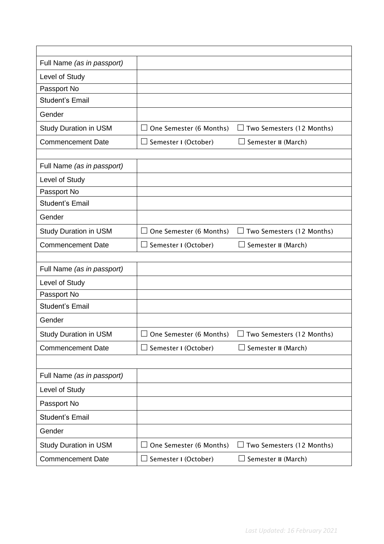| Full Name (as in passport)   |                                |                                     |
|------------------------------|--------------------------------|-------------------------------------|
| Level of Study               |                                |                                     |
| Passport No                  |                                |                                     |
| <b>Student's Email</b>       |                                |                                     |
| Gender                       |                                |                                     |
| <b>Study Duration in USM</b> | One Semester (6 Months)        | Two Semesters (12 Months)<br>$\Box$ |
| <b>Commencement Date</b>     | $\Box$ Semester I (October)    | $\Box$ Semester II (March)          |
|                              |                                |                                     |
| Full Name (as in passport)   |                                |                                     |
| Level of Study               |                                |                                     |
| Passport No                  |                                |                                     |
| <b>Student's Email</b>       |                                |                                     |
| Gender                       |                                |                                     |
| <b>Study Duration in USM</b> | One Semester (6 Months)        | Two Semesters (12 Months)<br>$\Box$ |
| <b>Commencement Date</b>     | Semester I (October)<br>$\Box$ | $\Box$ Semester II (March)          |
|                              |                                |                                     |
| Full Name (as in passport)   |                                |                                     |
| Level of Study               |                                |                                     |
| Passport No                  |                                |                                     |
| <b>Student's Email</b>       |                                |                                     |
| Gender                       |                                |                                     |
| <b>Study Duration in USM</b> | One Semester (6 Months)        | Two Semesters (12 Months)           |
| <b>Commencement Date</b>     | $\Box$ Semester I (October)    | $\Box$ Semester II (March)          |
|                              |                                |                                     |
| Full Name (as in passport)   |                                |                                     |
| Level of Study               |                                |                                     |
| Passport No                  |                                |                                     |
| <b>Student's Email</b>       |                                |                                     |
| Gender                       |                                |                                     |
| <b>Study Duration in USM</b> | One Semester (6 Months)        | Two Semesters (12 Months)           |
| <b>Commencement Date</b>     | Semester I (October)           | Semester II (March)                 |